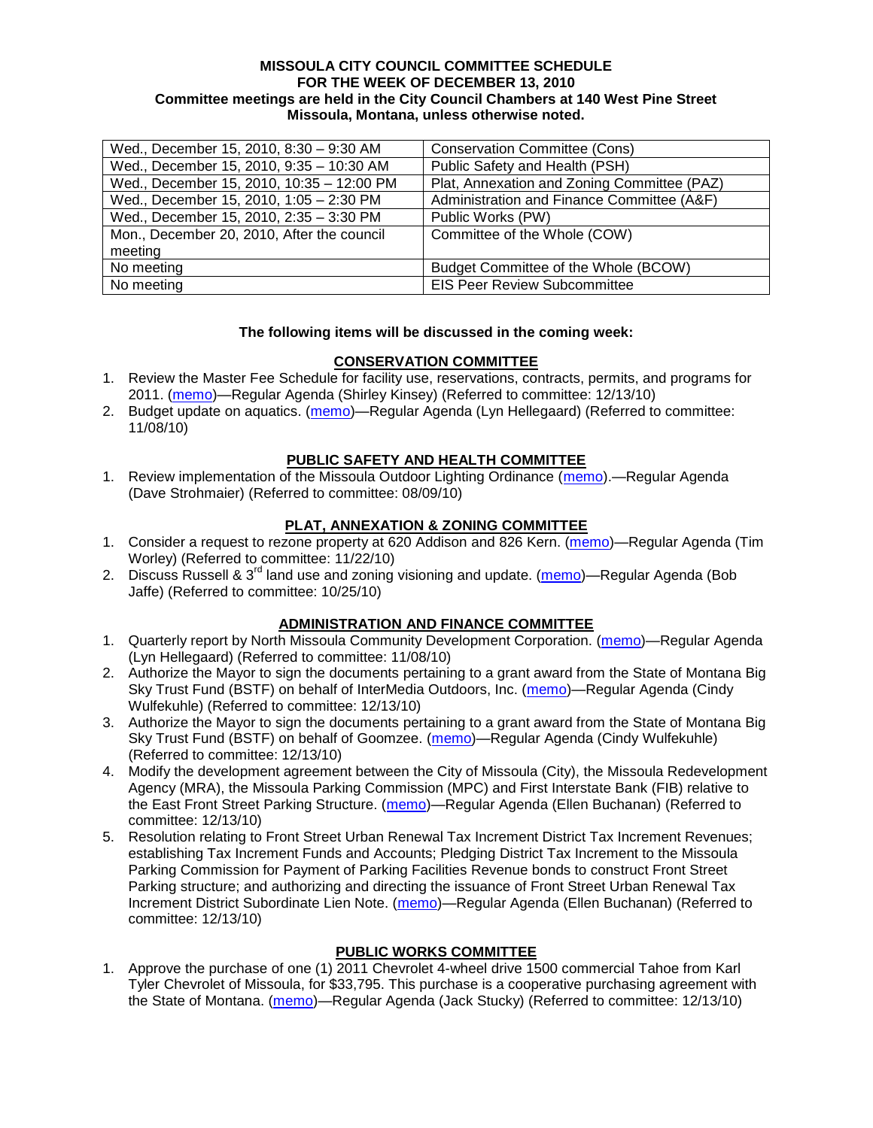#### **MISSOULA CITY COUNCIL COMMITTEE SCHEDULE FOR THE WEEK OF DECEMBER 13, 2010 Committee meetings are held in the City Council Chambers at 140 West Pine Street Missoula, Montana, unless otherwise noted.**

| Wed., December 15, 2010, 8:30 - 9:30 AM    | Conservation Committee (Cons)               |
|--------------------------------------------|---------------------------------------------|
| Wed., December 15, 2010, 9:35 - 10:30 AM   | Public Safety and Health (PSH)              |
| Wed., December 15, 2010, 10:35 - 12:00 PM  | Plat, Annexation and Zoning Committee (PAZ) |
| Wed., December 15, 2010, 1:05 - 2:30 PM    | Administration and Finance Committee (A&F)  |
| Wed., December 15, 2010, 2:35 - 3:30 PM    | Public Works (PW)                           |
| Mon., December 20, 2010, After the council | Committee of the Whole (COW)                |
| meeting                                    |                                             |
| No meeting                                 | Budget Committee of the Whole (BCOW)        |
| No meeting                                 | <b>EIS Peer Review Subcommittee</b>         |

### **The following items will be discussed in the coming week:**

### **CONSERVATION COMMITTEE**

- 1. Review the Master Fee Schedule for facility use, reservations, contracts, permits, and programs for 2011. [\(memo\)](http://www.ci.missoula.mt.us/DocumentView.aspx?DID=5207)—Regular Agenda (Shirley Kinsey) (Referred to committee: 12/13/10)
- 2. Budget update on aquatics. [\(memo\)](http://www.ci.missoula.mt.us/DocumentView.aspx?DID=4917)—Regular Agenda (Lyn Hellegaard) (Referred to committee: 11/08/10)

### **PUBLIC SAFETY AND HEALTH COMMITTEE**

1. Review implementation of the Missoula Outdoor Lighting Ordinance [\(memo\)](http://www.ci.missoula.mt.us/DocumentView.aspx?DID=4420).—Regular Agenda (Dave Strohmaier) (Referred to committee: 08/09/10)

### **PLAT, ANNEXATION & ZONING COMMITTEE**

- 1. Consider a request to rezone property at 620 Addison and 826 Kern. [\(memo\)](http://www.ci.missoula.mt.us/DocumentView.aspx?DID=5088)—Regular Agenda (Tim Worley) (Referred to committee: 11/22/10)
- 2. Discuss Russell & 3<sup>rd</sup> land use and zoning visioning and update. [\(memo\)](http://www.ci.missoula.mt.us/DocumentView.aspx?DID=4864)—Regular Agenda (Bob Jaffe) (Referred to committee: 10/25/10)

## **ADMINISTRATION AND FINANCE COMMITTEE**

- 1. Quarterly report by North Missoula Community Development Corporation. [\(memo\)](http://www.ci.missoula.mt.us/DocumentView.aspx?DID=4915)—Regular Agenda (Lyn Hellegaard) (Referred to committee: 11/08/10)
- 2. Authorize the Mayor to sign the documents pertaining to a grant award from the State of Montana Big Sky Trust Fund (BSTF) on behalf of InterMedia Outdoors, Inc. [\(memo\)](http://www.ci.missoula.mt.us/DocumentView.aspx?DID=5206)—Regular Agenda (Cindy Wulfekuhle) (Referred to committee: 12/13/10)
- 3. Authorize the Mayor to sign the documents pertaining to a grant award from the State of Montana Big Sky Trust Fund (BSTF) on behalf of Goomzee. [\(memo\)](http://www.ci.missoula.mt.us/DocumentView.aspx?DID=5205)—Regular Agenda (Cindy Wulfekuhle) (Referred to committee: 12/13/10)
- 4. Modify the development agreement between the City of Missoula (City), the Missoula Redevelopment Agency (MRA), the Missoula Parking Commission (MPC) and First Interstate Bank (FIB) relative to the East Front Street Parking Structure. [\(memo\)](http://www.ci.missoula.mt.us/DocumentView.aspx?DID=5212)—Regular Agenda (Ellen Buchanan) (Referred to committee: 12/13/10)
- 5. Resolution relating to Front Street Urban Renewal Tax Increment District Tax Increment Revenues; establishing Tax Increment Funds and Accounts; Pledging District Tax Increment to the Missoula Parking Commission for Payment of Parking Facilities Revenue bonds to construct Front Street Parking structure; and authorizing and directing the issuance of Front Street Urban Renewal Tax Increment District Subordinate Lien Note. [\(memo\)](http://www.ci.missoula.mt.us/DocumentView.aspx?DID=5210)—Regular Agenda (Ellen Buchanan) (Referred to committee: 12/13/10)

# **PUBLIC WORKS COMMITTEE**

1. Approve the purchase of one (1) 2011 Chevrolet 4-wheel drive 1500 commercial Tahoe from Karl Tyler Chevrolet of Missoula, for \$33,795. This purchase is a cooperative purchasing agreement with the State of Montana. [\(memo\)](http://www.ci.missoula.mt.us/DocumentView.aspx?DID=5208)—Regular Agenda (Jack Stucky) (Referred to committee: 12/13/10)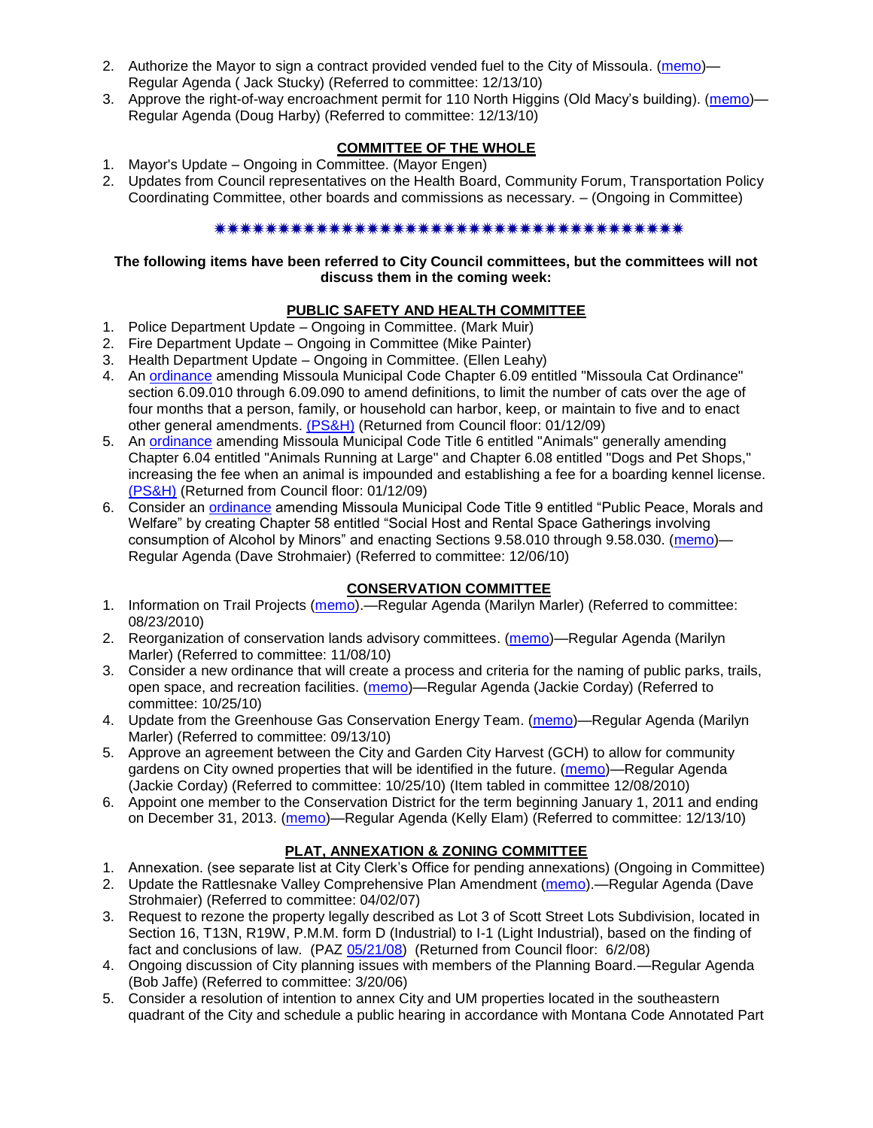- 2. Authorize the Mayor to sign a contract provided vended fuel to the City of Missoula. [\(memo\)](http://www.ci.missoula.mt.us/DocumentView.aspx?DID=5211) Regular Agenda ( Jack Stucky) (Referred to committee: 12/13/10)
- 3. Approve the right-of-way encroachment permit for 110 North Higgins (Old Macy's building). [\(memo\)](http://www.ci.missoula.mt.us/DocumentView.aspx?DID=5209) Regular Agenda (Doug Harby) (Referred to committee: 12/13/10)

# **COMMITTEE OF THE WHOLE**

- 1. Mayor's Update Ongoing in Committee. (Mayor Engen)
- 2. Updates from Council representatives on the Health Board, Community Forum, Transportation Policy Coordinating Committee, other boards and commissions as necessary. – (Ongoing in Committee)

# 

## **The following items have been referred to City Council committees, but the committees will not discuss them in the coming week:**

# **PUBLIC SAFETY AND HEALTH COMMITTEE**

- 1. Police Department Update Ongoing in Committee. (Mark Muir)
- 2. Fire Department Update Ongoing in Committee (Mike Painter)
- 3. Health Department Update Ongoing in Committee. (Ellen Leahy)
- 4. An [ordinance](ftp://ftp.ci.missoula.mt.us/Packets/Council/2008/2008-12-15/2008CatOrdinanceAmendment%5B1%5D.pdf) amending Missoula Municipal Code Chapter 6.09 entitled "Missoula Cat Ordinance" section 6.09.010 through 6.09.090 to amend definitions, to limit the number of cats over the age of four months that a person, family, or household can harbor, keep, or maintain to five and to enact other general amendments. [\(PS&H\)](ftp://ftp.ci.missoula.mt.us/Packets/Council/2008/2008-12-15/081210psh.pdf) (Returned from Council floor: 01/12/09)
- 5. An [ordinance](ftp://ftp.ci.missoula.mt.us/Packets/Council/2008/2008-12-15/DogOrdinance--PSHrevisions.pdf) amending Missoula Municipal Code Title 6 entitled "Animals" generally amending Chapter 6.04 entitled "Animals Running at Large" and Chapter 6.08 entitled "Dogs and Pet Shops," increasing the fee when an animal is impounded and establishing a fee for a boarding kennel license. [\(PS&H\)](ftp://ftp.ci.missoula.mt.us/Packets/Council/2008/2008-12-15/081210psh.pdf) (Returned from Council floor: 01/12/09)
- 6. Consider an [ordinance](http://www.ci.missoula.mt.us/DocumentView.aspx?DID=5133) amending Missoula Municipal Code Title 9 entitled "Public Peace, Morals and Welfare" by creating Chapter 58 entitled "Social Host and Rental Space Gatherings involving consumption of Alcohol by Minors" and enacting Sections 9.58.010 through 9.58.030. [\(memo\)](http://www.ci.missoula.mt.us/DocumentView.aspx?DID=5149)-Regular Agenda (Dave Strohmaier) (Referred to committee: 12/06/10)

# **CONSERVATION COMMITTEE**

- 1. Information on Trail Projects [\(memo\)](http://www.ci.missoula.mt.us/DocumentView.aspx?DID=4477).—Regular Agenda (Marilyn Marler) (Referred to committee: 08/23/2010)
- 2. Reorganization of conservation lands advisory committees. [\(memo\)](http://www.ci.missoula.mt.us/DocumentView.aspx?DID=4957)—Regular Agenda (Marilyn Marler) (Referred to committee: 11/08/10)
- 3. Consider a new ordinance that will create a process and criteria for the naming of public parks, trails, open space, and recreation facilities. [\(memo\)](http://www.ci.missoula.mt.us/DocumentView.aspx?DID=4848)—Regular Agenda (Jackie Corday) (Referred to committee: 10/25/10)
- 4. Update from the Greenhouse Gas Conservation Energy Team. [\(memo\)](http://www.ci.missoula.mt.us/DocumentView.aspx?DID=4556)—Regular Agenda (Marilyn Marler) (Referred to committee: 09/13/10)
- 5. Approve an agreement between the City and Garden City Harvest (GCH) to allow for community gardens on City owned properties that will be identified in the future. [\(memo\)](http://www.ci.missoula.mt.us/DocumentView.aspx?DID=4847)—Regular Agenda (Jackie Corday) (Referred to committee: 10/25/10) (Item tabled in committee 12/08/2010)
- 6. Appoint one member to the Conservation District for the term beginning January 1, 2011 and ending on December 31, 2013. [\(memo\)](http://www.ci.missoula.mt.us/DocumentView.aspx?DID=5204)—Regular Agenda (Kelly Elam) (Referred to committee: 12/13/10)

# **PLAT, ANNEXATION & ZONING COMMITTEE**

- 1. Annexation. (see separate list at City Clerk's Office for pending annexations) (Ongoing in Committee)
- 2. Update the Rattlesnake Valley Comprehensive Plan Amendment [\(memo\)](ftp://ftp.ci.missoula.mt.us/Packets/Council/2007/2007-04-02/Referrals/Rattlesnake_Plan_Update_referral.pdf).—Regular Agenda (Dave Strohmaier) (Referred to committee: 04/02/07)
- 3. Request to rezone the property legally described as Lot 3 of Scott Street Lots Subdivision, located in Section 16, T13N, R19W, P.M.M. form D (Industrial) to I-1 (Light Industrial), based on the finding of fact and conclusions of law. (PAZ [05/21/08\)](ftp://ftp.ci.missoula.mt.us/Packets/Council/2008/2008-06-02/080521paz.pdf) (Returned from Council floor: 6/2/08)
- 4. Ongoing discussion of City planning issues with members of the Planning Board.—Regular Agenda (Bob Jaffe) (Referred to committee: 3/20/06)
- 5. Consider a resolution of intention to annex City and UM properties located in the southeastern quadrant of the City and schedule a public hearing in accordance with Montana Code Annotated Part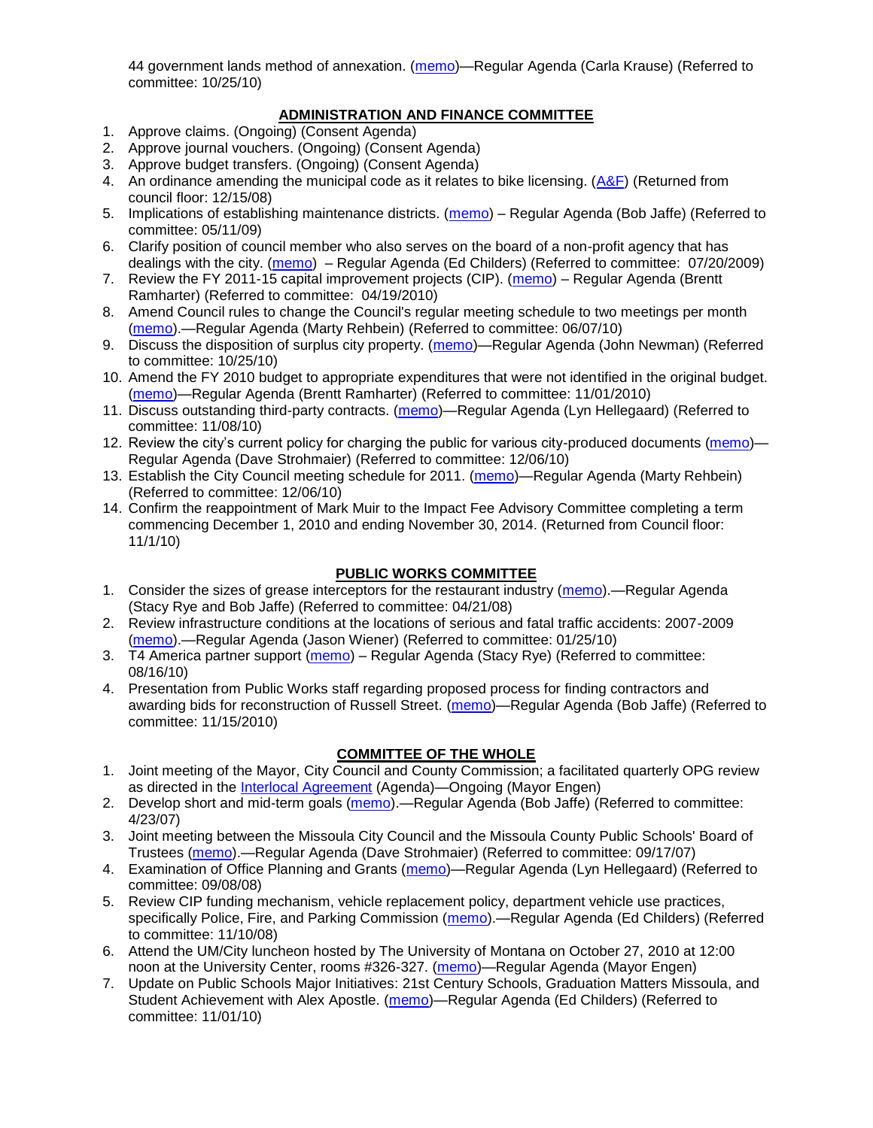44 government lands method of annexation. [\(memo\)](http://www.ci.missoula.mt.us/DocumentView.aspx?DID=4845)—Regular Agenda (Carla Krause) (Referred to committee: 10/25/10)

## **ADMINISTRATION AND FINANCE COMMITTEE**

- 1. Approve claims. (Ongoing) (Consent Agenda)
- 2. Approve journal vouchers. (Ongoing) (Consent Agenda)
- 3. Approve budget transfers. (Ongoing) (Consent Agenda)
- 4. An ordinance amending the municipal code as it relates to bike licensing. [\(A&F\)](ftp://ftp.ci.missoula.mt.us/Packets/Council/2008/2008-12-15/081210af.pdf) (Returned from council floor: 12/15/08)
- 5. Implications of establishing maintenance districts. [\(memo\)](ftp://ftp.ci.missoula.mt.us/Packets/Council/2009/2009-05-11/Referrals/MaintenanceDistricts.pdf) Regular Agenda (Bob Jaffe) (Referred to committee: 05/11/09)
- 6. Clarify position of council member who also serves on the board of a non-profit agency that has dealings with the city. [\(memo\)](http://www.ci.missoula.mt.us/DocumentView.aspx?DID=1840) – Regular Agenda (Ed Childers) (Referred to committee: 07/20/2009)
- 7. Review the FY 2011-15 capital improvement projects (CIP). [\(memo\)](http://www.ci.missoula.mt.us/DocumentView.aspx?DID=3522) Regular Agenda (Brentt Ramharter) (Referred to committee: 04/19/2010)
- 8. Amend Council rules to change the Council's regular meeting schedule to two meetings per month [\(memo\)](http://www.ci.missoula.mt.us/DocumentView.aspx?DID=4027).—Regular Agenda (Marty Rehbein) (Referred to committee: 06/07/10)
- 9. Discuss the disposition of surplus city property. [\(memo\)](http://www.ci.missoula.mt.us/DocumentView.aspx?DID=4862)—Regular Agenda (John Newman) (Referred to committee: 10/25/10)
- 10. Amend the FY 2010 budget to appropriate expenditures that were not identified in the original budget. [\(memo\)](http://www.ci.missoula.mt.us/DocumentView.aspx?DID=4883)—Regular Agenda (Brentt Ramharter) (Referred to committee: 11/01/2010)
- 11. Discuss outstanding third-party contracts. [\(memo\)](http://www.ci.missoula.mt.us/DocumentView.aspx?DID=4956)—Regular Agenda (Lyn Hellegaard) (Referred to committee: 11/08/10)
- 12. Review the city's current policy for charging the public for various city-produced documents [\(memo\)](http://www.ci.missoula.mt.us/DocumentView.aspx?DID=5143) Regular Agenda (Dave Strohmaier) (Referred to committee: 12/06/10)
- 13. Establish the City Council meeting schedule for 2011. [\(memo\)](http://www.ci.missoula.mt.us/DocumentView.aspx?DID=5144)—Regular Agenda (Marty Rehbein) (Referred to committee: 12/06/10)
- 14. Confirm the reappointment of Mark Muir to the Impact Fee Advisory Committee completing a term commencing December 1, 2010 and ending November 30, 2014. (Returned from Council floor: 11/1/10)

#### **PUBLIC WORKS COMMITTEE**

- 1. Consider the sizes of grease interceptors for the restaurant industry [\(memo\)](ftp://ftp.ci.missoula.mt.us/Packets/Council/2008/2008-04-21/Referrals/Industrial_waste_restaurants.pdf).—Regular Agenda (Stacy Rye and Bob Jaffe) (Referred to committee: 04/21/08)
- 2. Review infrastructure conditions at the locations of serious and fatal traffic accidents: 2007-2009 [\(memo\)](http://www.ci.missoula.mt.us/DocumentView.aspx?DID=3031).—Regular Agenda (Jason Wiener) (Referred to committee: 01/25/10)
- 3. T4 America partner support [\(memo\)](http://www.ci.missoula.mt.us/DocumentView.aspx?DID=4452) Regular Agenda (Stacy Rye) (Referred to committee: 08/16/10)
- 4. Presentation from Public Works staff regarding proposed process for finding contractors and awarding bids for reconstruction of Russell Street. [\(memo\)](http://www.ci.missoula.mt.us/DocumentView.aspx?DID=5042)—Regular Agenda (Bob Jaffe) (Referred to committee: 11/15/2010)

# **COMMITTEE OF THE WHOLE**

- 1. Joint meeting of the Mayor, City Council and County Commission; a facilitated quarterly OPG review as directed in the [Interlocal Agreement](ftp://ftp.ci.missoula.mt.us/Documents/Mayor/OPG/Adopted-ILA-2005.pdf) (Agenda)—Ongoing (Mayor Engen)
- 2. Develop short and mid-term goals [\(memo\)](ftp://ftp.ci.missoula.mt.us/Packets/Council/2007/2007-04-23/Referrals/Council_Goals.pdf).—Regular Agenda (Bob Jaffe) (Referred to committee: 4/23/07)
- 3. Joint meeting between the Missoula City Council and the Missoula County Public Schools' Board of Trustees [\(memo\)](ftp://ftp.ci.missoula.mt.us/Packets/Council/2007/2007-09-17/Referrals/Council_School_Board_referral.pdf).—Regular Agenda (Dave Strohmaier) (Referred to committee: 09/17/07)
- 4. Examination of Office Planning and Grants [\(memo\)](ftp://ftp.ci.missoula.mt.us/Packets/Council/2008/2008-09-08/Referrals/080825HendricksonOPGreferral.pdf)—Regular Agenda (Lyn Hellegaard) (Referred to committee: 09/08/08)
- 5. Review CIP funding mechanism, vehicle replacement policy, department vehicle use practices, specifically Police, Fire, and Parking Commission [\(memo\)](ftp://ftp.ci.missoula.mt.us/Packets/Council/2008/2008-11-10/Referrals/ReviewBudgetary.pdf).—Regular Agenda (Ed Childers) (Referred to committee: 11/10/08)
- 6. Attend the UM/City luncheon hosted by The University of Montana on October 27, 2010 at 12:00 noon at the University Center, rooms #326-327. [\(memo\)](http://www.ci.missoula.mt.us/DocumentView.aspx?DID=4706)—Regular Agenda (Mayor Engen)
- 7. Update on Public Schools Major Initiatives: 21st Century Schools, Graduation Matters Missoula, and Student Achievement with Alex Apostle. [\(memo\)](http://www.ci.missoula.mt.us/DocumentView.aspx?DID=4902)—Regular Agenda (Ed Childers) (Referred to committee: 11/01/10)